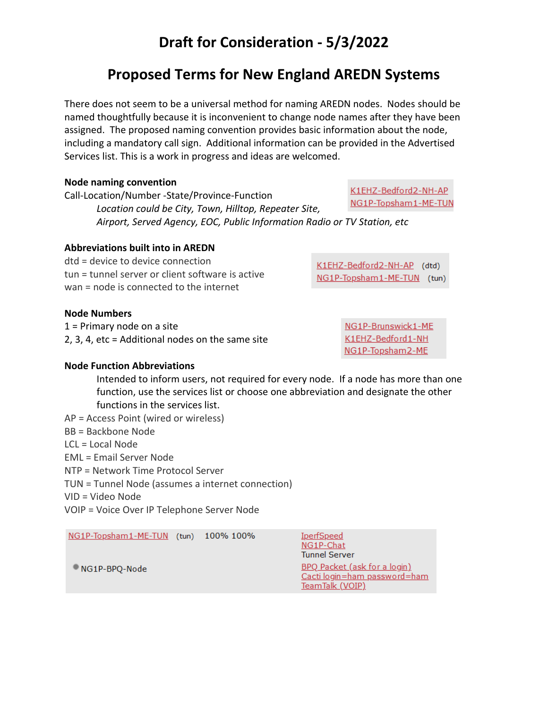## **Draft for Consideration - 5/3/2022**

## **Proposed Terms for New England AREDN Systems**

There does not seem to be a universal method for naming AREDN nodes. Nodes should be named thoughtfully because it is inconvenient to change node names after they have been assigned. The proposed naming convention provides basic information about the node, including a mandatory call sign. Additional information can be provided in the Advertised Services list. This is a work in progress and ideas are welcomed.

#### **Node naming convention**

K1EHZ-Bedford2-NH-AP Call-Location/Number -State/Province-Function NG1P-Topsham1-ME-TUN *Location could be City, Town, Hilltop, Repeater Site, Airport, Served Agency, EOC, Public Information Radio or TV Station, etc*

### **Abbreviations built into in AREDN**

dtd = device to device connection tun = tunnel server or client software is active wan = node is connected to the internet

**Node Numbers**

1 = Primary node on a site 2, 3, 4, etc = Additional nodes on the same site

**Node Function Abbreviations**

Intended to inform users, not required for every node. If a node has more than one function, use the services list or choose one abbreviation and designate the other functions in the services list.

- AP = Access Point (wired or wireless)
- BB = Backbone Node
- $LCL = LocalNode$
- EML = Email Server Node
- NTP = Network Time Protocol Server
- TUN = Tunnel Node (assumes a internet connection)

VID = Video Node

VOIP = Voice Over IP Telephone Server Node

| NG1P-Topsham1-ME-TUN (tun) 100% 100% |  | IperfSpeed<br>NG1P-Chat<br><b>Tunnel Server</b>                                        |
|--------------------------------------|--|----------------------------------------------------------------------------------------|
| NG1P-BPQ-Node                        |  | <b>BPQ Packet (ask for a login)</b><br>Cacti login=ham password=ham<br>TeamTalk (VOIP) |

K1EHZ-Bedford2-NH-AP (dtd) NG1P-Topsham1-ME-TUN (tun)

> NG1P-Brunswick1-ME K1EHZ-Bedford1-NH NG1P-Topsham2-ME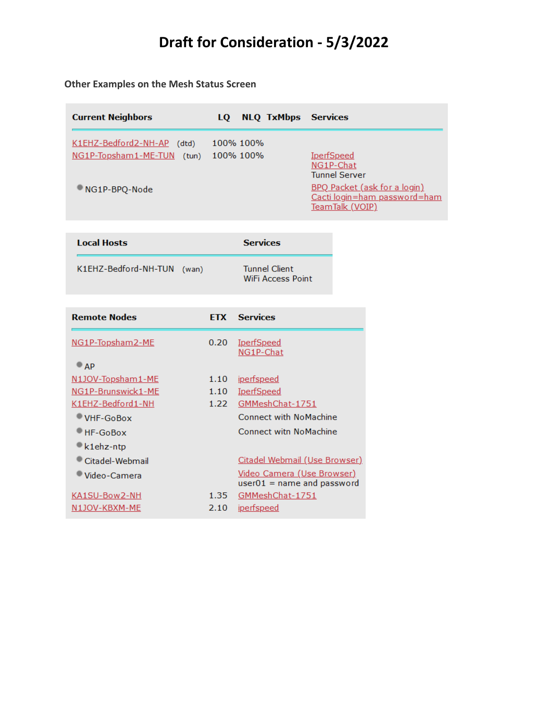# **Draft for Consideration - 5/3/2022**

### **Other Examples on the Mesh Status Screen**

| <b>Current Neighbors</b>                                                  | LQ NLQ TxMbps Services |                                                                                                                                                  |
|---------------------------------------------------------------------------|------------------------|--------------------------------------------------------------------------------------------------------------------------------------------------|
| K1EHZ-Bedford2-NH-AP (dtd)<br>NG1P-Topsham1-ME-TUN (tun)<br>NG1P-BPQ-Node | 100% 100%<br>100% 100% | <b>IperfSpeed</b><br>NG1P-Chat<br><b>Tunnel Server</b><br><b>BPQ</b> Packet (ask for a login)<br>Cacti login=ham password=ham<br>TeamTalk (VOIP) |
|                                                                           |                        |                                                                                                                                                  |

| <b>Local Hosts</b>         | <b>Services</b> |                                                  |  |  |
|----------------------------|-----------------|--------------------------------------------------|--|--|
| K1EHZ-Bedford-NH-TUN (wan) |                 | <b>Tunnel Client</b><br><b>WiFi Access Point</b> |  |  |

| <b>Remote Nodes</b>     | <b>FTX</b> | <b>Services</b>                                                   |
|-------------------------|------------|-------------------------------------------------------------------|
| <u>NG1P-Topsham2-ME</u> | 0.20       | <u>IperfSpeed</u><br>NG1P-Chat                                    |
| $\bullet$ AP            |            |                                                                   |
| N1JOV-Topsham1-ME       | 1.10       | <u>iperfspeed</u>                                                 |
| NG1P-Brunswick1-ME      | 1.10       | <u>IperfSpeed</u>                                                 |
| K1EHZ-Bedford1-NH       | 1.22       | GMMeshChat-1751                                                   |
| VHF-GoBox               |            | Connect with NoMachine                                            |
| HF-GoBox                |            | Connect with NoMachine                                            |
| k1ehz-ntp               |            |                                                                   |
| Citadel-Webmail         |            | <b>Citadel Webmail (Use Browser)</b>                              |
| Video-Camera            |            | <u>Video Camera (Use Browser)</u><br>$user01 = name and password$ |
| KA1SU-Bow2-NH           | 1.35       | GMMeshChat-1751                                                   |
| N1JOV-KBXM-ME           | 2.10       | <u>iperfspeed</u>                                                 |